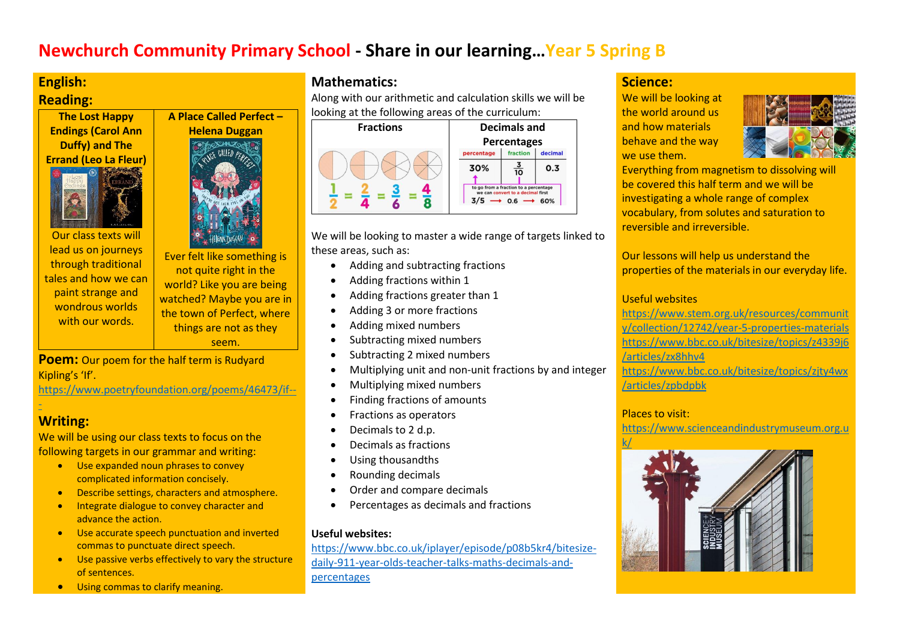## **Newchurch Community Primary School - Share in our learning…Year 5 Spring B**

# **English:**

## **Reading:**

**The Lost Happy Endings (Carol Ann Duffy) and The Errand (Leo La Fleur)**



Our class texts will lead us on journeys through traditional tales and how we can paint strange and wondrous worlds with our words.



Ever felt like something is not quite right in the world? Like you are being watched? Maybe you are in the town of Perfect, where things are not as they seem.

**Poem:** Our poem for the half term is Rudyard Kipling's 'If'.

[https://www.poetryfoundation.org/poems/46473/if--](https://www.poetryfoundation.org/poems/46473/if---)

## [-](https://www.poetryfoundation.org/poems/46473/if---) **Writing:**

We will be using our class texts to focus on the following targets in our grammar and writing:

- Use expanded noun phrases to convey complicated information concisely.
- Describe settings, characters and atmosphere.
- Integrate dialogue to convey character and advance the action.
- Use accurate speech punctuation and inverted commas to punctuate direct speech.
- Use passive verbs effectively to vary the structure of sentences.
- **•** Using commas to clarify meaning.

## **Mathematics:**

Along with our arithmetic and calculation skills we will be looking at the following areas of the curriculum:



We will be looking to master a wide range of targets linked to these areas, such as:

- Adding and subtracting fractions
- Adding fractions within 1
- Adding fractions greater than 1
- Adding 3 or more fractions
- Adding mixed numbers
- Subtracting mixed numbers
- Subtracting 2 mixed numbers
- Multiplying unit and non-unit fractions by and integer
- Multiplying mixed numbers
- Finding fractions of amounts
- Fractions as operators
- Decimals to 2 d.p.
- Decimals as fractions
- Using thousandths
- Rounding decimals
- Order and compare decimals
- Percentages as decimals and fractions

### **Useful websites:**

[https://www.bbc.co.uk/iplayer/episode/p08b5kr4/bitesize](https://www.bbc.co.uk/iplayer/episode/p08b5kr4/bitesize-daily-911-year-olds-teacher-talks-maths-decimals-and-percentages)[daily-911-year-olds-teacher-talks-maths-decimals-and](https://www.bbc.co.uk/iplayer/episode/p08b5kr4/bitesize-daily-911-year-olds-teacher-talks-maths-decimals-and-percentages)[percentages](https://www.bbc.co.uk/iplayer/episode/p08b5kr4/bitesize-daily-911-year-olds-teacher-talks-maths-decimals-and-percentages)

## **Science:**

We will be looking at the world around us and how materials behave and the way we use them.



Everything from magnetism to dissolving will be covered this half term and we will be investigating a whole range of complex vocabulary, from solutes and saturation to reversible and irreversible.

Our lessons will help us understand the properties of the materials in our everyday life.

### Useful websites

[https://www.stem.org.uk/resources/communit](https://www.stem.org.uk/resources/community/collection/12742/year-5-properties-materials) [y/collection/12742/year-5-properties-materials](https://www.stem.org.uk/resources/community/collection/12742/year-5-properties-materials) [https://www.bbc.co.uk/bitesize/topics/z4339j6](https://www.bbc.co.uk/bitesize/topics/z4339j6/articles/zx8hhv4) [/articles/zx8hhv4](https://www.bbc.co.uk/bitesize/topics/z4339j6/articles/zx8hhv4) [https://www.bbc.co.uk/bitesize/topics/zjty4wx](https://www.bbc.co.uk/bitesize/topics/zjty4wx/articles/zpbdpbk) [/articles/zpbdpbk](https://www.bbc.co.uk/bitesize/topics/zjty4wx/articles/zpbdpbk)

### Places to visit:

[https://www.scienceandindustrymuseum.org.u](https://www.scienceandindustrymuseum.org.uk/)